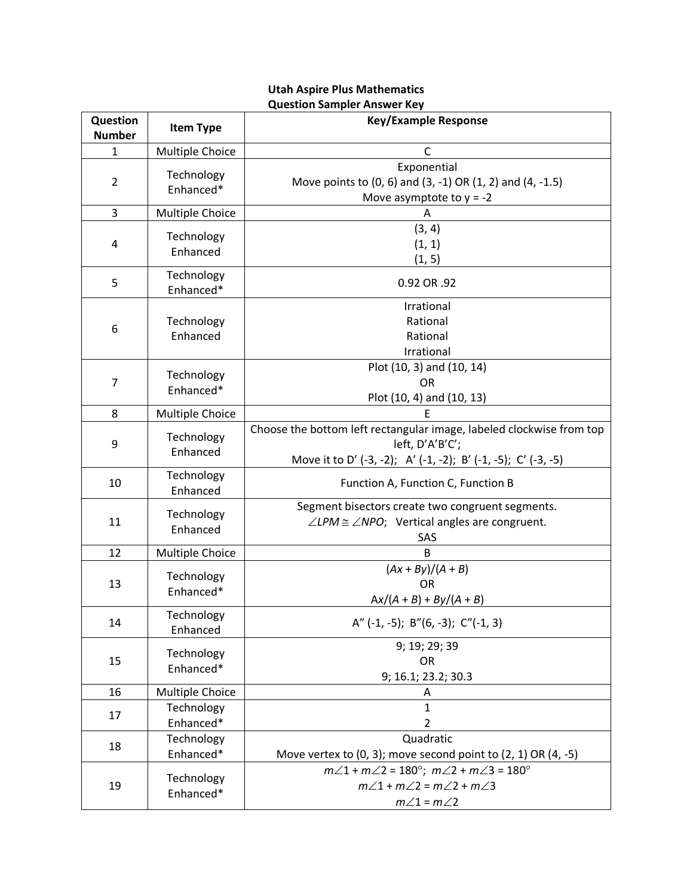## **Question**  Question **a**<br> **Item Type Item Type Response Example Response** 1 Multiple Choice | C 2 **Technology** Enhanced\* Exponential Move points to (0, 6) and (3, -1) OR (1, 2) and (4, -1.5) Move asymptote to  $y = -2$ 3 Multiple Choice | A 4 **Technology** Enhanced (3, 4) (1, 1) (1, 5) 5 Technology Enhanced\* 1. Commonly 1. Commonly 1. Commonly 1. O.92 OR .92 6 **Technology** Enhanced Irrational Rational Rational Irrational 7 Technology Enhanced\* Plot (10, 3) and (10, 14) OR Plot (10, 4) and (10, 13) 8 | Multiple Choice | No. 2006 9 Technology Enhanced Choose the bottom left rectangular image, labeled clockwise from top left, D'A'B'C'; Move it to D' (-3, -2); A' (-1, -2); B' (-1, -5); C' (-3, -5) 10 Technology<br>Enhanced Function A, Function C, Function B 11 | Technology Enhanced Segment bisectors create two congruent segments.  $\angle$ *LPM*  $\cong$   $\angle$ *NPO*; Vertical angles are congruent. SAS 12 | Multiple Choice | No. 32 | B 13 | Technology Enhanced\*  $\sqrt{(Ax + By)/(A + B)}$ OR A*x*/(*A* + *B*) + *By*/(*A* + *B*) 14 | Technology<br>
Enhanced A"  $(-1, -5)$ ; B" $(6, -3)$ ; C" $(-1, 3)$ 15 | Technology Enhanced\* 9; 19; 29; 39 OR 9; 16.1; 23.2; 30.3 16 Multiple Choice **A** 17 | Technology Enhanced\* 1 2 18 | Technology Enhanced\* Quadratic Move vertex to  $(0, 3)$ ; move second point to  $(2, 1)$  OR  $(4, -5)$ 19 | Technology Enhanced\* *m*∠1 + *m*∠2 = 180°; *m*∠2 + *m*∠3 = 180°  $m∠1 + m∠2 = m∠2 + m∠3$  $m\angle 1 = m\angle 2$

## **Utah Aspire Plus Mathematics Question Sampler Answer Key**